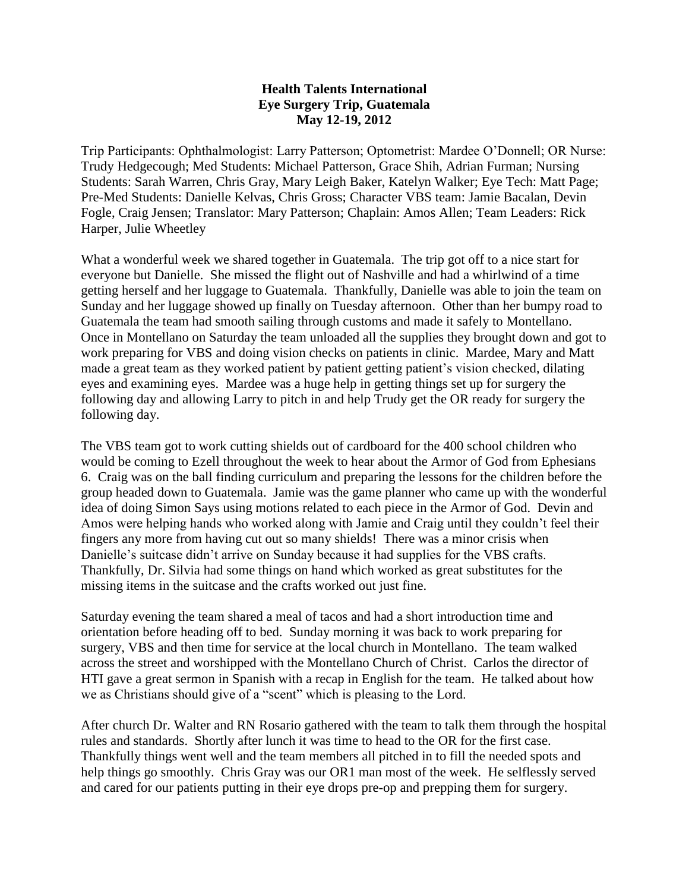## **Health Talents International Eye Surgery Trip, Guatemala May 12-19, 2012**

Trip Participants: Ophthalmologist: Larry Patterson; Optometrist: Mardee O'Donnell; OR Nurse: Trudy Hedgecough; Med Students: Michael Patterson, Grace Shih, Adrian Furman; Nursing Students: Sarah Warren, Chris Gray, Mary Leigh Baker, Katelyn Walker; Eye Tech: Matt Page; Pre-Med Students: Danielle Kelvas, Chris Gross; Character VBS team: Jamie Bacalan, Devin Fogle, Craig Jensen; Translator: Mary Patterson; Chaplain: Amos Allen; Team Leaders: Rick Harper, Julie Wheetley

What a wonderful week we shared together in Guatemala. The trip got off to a nice start for everyone but Danielle. She missed the flight out of Nashville and had a whirlwind of a time getting herself and her luggage to Guatemala. Thankfully, Danielle was able to join the team on Sunday and her luggage showed up finally on Tuesday afternoon. Other than her bumpy road to Guatemala the team had smooth sailing through customs and made it safely to Montellano. Once in Montellano on Saturday the team unloaded all the supplies they brought down and got to work preparing for VBS and doing vision checks on patients in clinic. Mardee, Mary and Matt made a great team as they worked patient by patient getting patient's vision checked, dilating eyes and examining eyes. Mardee was a huge help in getting things set up for surgery the following day and allowing Larry to pitch in and help Trudy get the OR ready for surgery the following day.

The VBS team got to work cutting shields out of cardboard for the 400 school children who would be coming to Ezell throughout the week to hear about the Armor of God from Ephesians 6. Craig was on the ball finding curriculum and preparing the lessons for the children before the group headed down to Guatemala. Jamie was the game planner who came up with the wonderful idea of doing Simon Says using motions related to each piece in the Armor of God. Devin and Amos were helping hands who worked along with Jamie and Craig until they couldn't feel their fingers any more from having cut out so many shields! There was a minor crisis when Danielle's suitcase didn't arrive on Sunday because it had supplies for the VBS crafts. Thankfully, Dr. Silvia had some things on hand which worked as great substitutes for the missing items in the suitcase and the crafts worked out just fine.

Saturday evening the team shared a meal of tacos and had a short introduction time and orientation before heading off to bed. Sunday morning it was back to work preparing for surgery, VBS and then time for service at the local church in Montellano. The team walked across the street and worshipped with the Montellano Church of Christ. Carlos the director of HTI gave a great sermon in Spanish with a recap in English for the team. He talked about how we as Christians should give of a "scent" which is pleasing to the Lord.

After church Dr. Walter and RN Rosario gathered with the team to talk them through the hospital rules and standards. Shortly after lunch it was time to head to the OR for the first case. Thankfully things went well and the team members all pitched in to fill the needed spots and help things go smoothly. Chris Gray was our OR1 man most of the week. He selflessly served and cared for our patients putting in their eye drops pre-op and prepping them for surgery.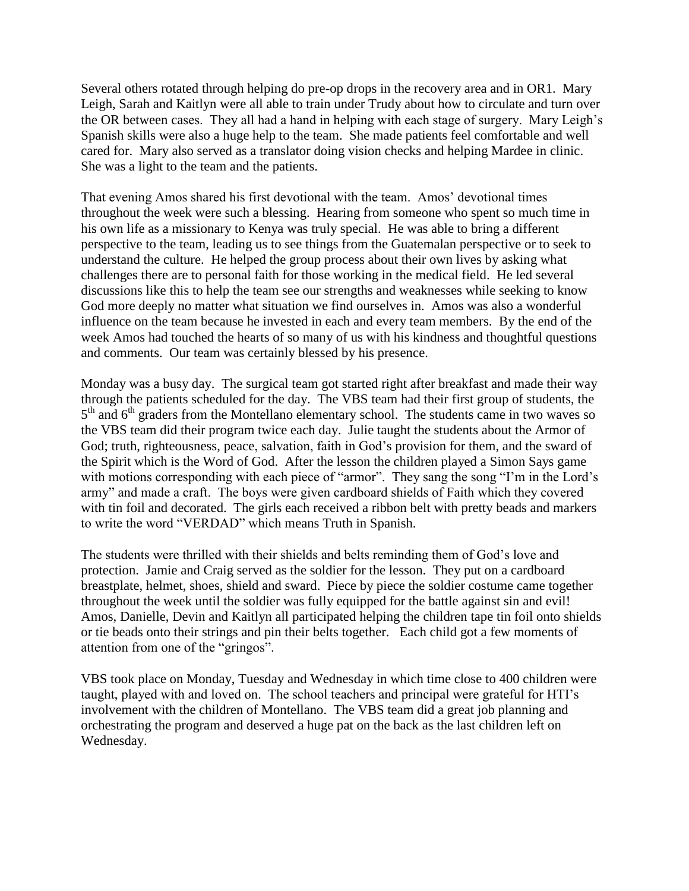Several others rotated through helping do pre-op drops in the recovery area and in OR1. Mary Leigh, Sarah and Kaitlyn were all able to train under Trudy about how to circulate and turn over the OR between cases. They all had a hand in helping with each stage of surgery. Mary Leigh's Spanish skills were also a huge help to the team. She made patients feel comfortable and well cared for. Mary also served as a translator doing vision checks and helping Mardee in clinic. She was a light to the team and the patients.

That evening Amos shared his first devotional with the team. Amos' devotional times throughout the week were such a blessing. Hearing from someone who spent so much time in his own life as a missionary to Kenya was truly special. He was able to bring a different perspective to the team, leading us to see things from the Guatemalan perspective or to seek to understand the culture. He helped the group process about their own lives by asking what challenges there are to personal faith for those working in the medical field. He led several discussions like this to help the team see our strengths and weaknesses while seeking to know God more deeply no matter what situation we find ourselves in. Amos was also a wonderful influence on the team because he invested in each and every team members. By the end of the week Amos had touched the hearts of so many of us with his kindness and thoughtful questions and comments. Our team was certainly blessed by his presence.

Monday was a busy day. The surgical team got started right after breakfast and made their way through the patients scheduled for the day. The VBS team had their first group of students, the 5<sup>th</sup> and 6<sup>th</sup> graders from the Montellano elementary school. The students came in two waves so the VBS team did their program twice each day. Julie taught the students about the Armor of God; truth, righteousness, peace, salvation, faith in God's provision for them, and the sward of the Spirit which is the Word of God. After the lesson the children played a Simon Says game with motions corresponding with each piece of "armor". They sang the song "I'm in the Lord's army" and made a craft. The boys were given cardboard shields of Faith which they covered with tin foil and decorated. The girls each received a ribbon belt with pretty beads and markers to write the word "VERDAD" which means Truth in Spanish.

The students were thrilled with their shields and belts reminding them of God's love and protection. Jamie and Craig served as the soldier for the lesson. They put on a cardboard breastplate, helmet, shoes, shield and sward. Piece by piece the soldier costume came together throughout the week until the soldier was fully equipped for the battle against sin and evil! Amos, Danielle, Devin and Kaitlyn all participated helping the children tape tin foil onto shields or tie beads onto their strings and pin their belts together. Each child got a few moments of attention from one of the "gringos".

VBS took place on Monday, Tuesday and Wednesday in which time close to 400 children were taught, played with and loved on. The school teachers and principal were grateful for HTI's involvement with the children of Montellano. The VBS team did a great job planning and orchestrating the program and deserved a huge pat on the back as the last children left on Wednesday.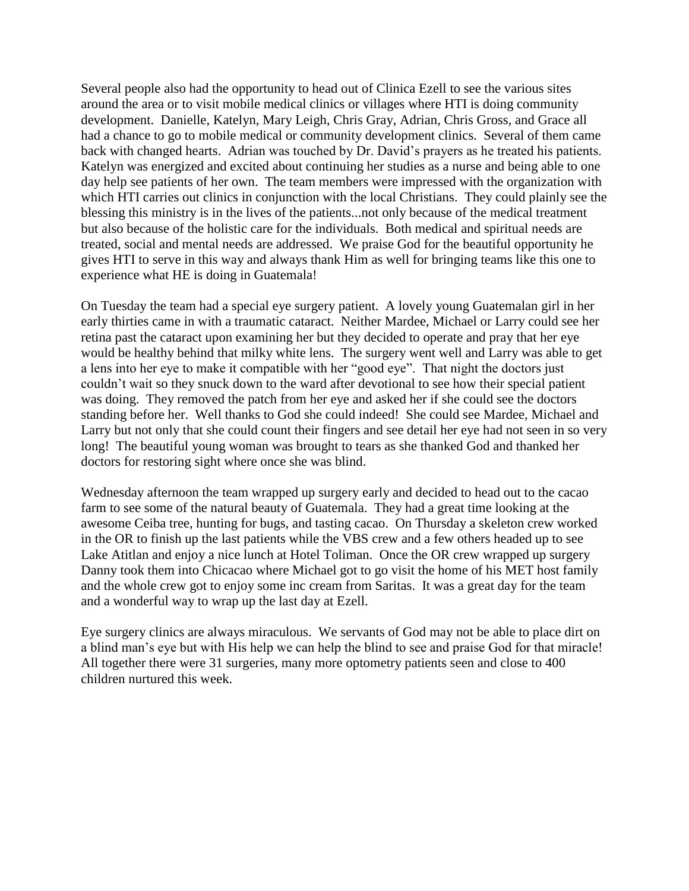Several people also had the opportunity to head out of Clinica Ezell to see the various sites around the area or to visit mobile medical clinics or villages where HTI is doing community development. Danielle, Katelyn, Mary Leigh, Chris Gray, Adrian, Chris Gross, and Grace all had a chance to go to mobile medical or community development clinics. Several of them came back with changed hearts. Adrian was touched by Dr. David's prayers as he treated his patients. Katelyn was energized and excited about continuing her studies as a nurse and being able to one day help see patients of her own. The team members were impressed with the organization with which HTI carries out clinics in conjunction with the local Christians. They could plainly see the blessing this ministry is in the lives of the patients...not only because of the medical treatment but also because of the holistic care for the individuals. Both medical and spiritual needs are treated, social and mental needs are addressed. We praise God for the beautiful opportunity he gives HTI to serve in this way and always thank Him as well for bringing teams like this one to experience what HE is doing in Guatemala!

On Tuesday the team had a special eye surgery patient. A lovely young Guatemalan girl in her early thirties came in with a traumatic cataract. Neither Mardee, Michael or Larry could see her retina past the cataract upon examining her but they decided to operate and pray that her eye would be healthy behind that milky white lens. The surgery went well and Larry was able to get a lens into her eye to make it compatible with her "good eye". That night the doctors just couldn't wait so they snuck down to the ward after devotional to see how their special patient was doing. They removed the patch from her eye and asked her if she could see the doctors standing before her. Well thanks to God she could indeed! She could see Mardee, Michael and Larry but not only that she could count their fingers and see detail her eye had not seen in so very long! The beautiful young woman was brought to tears as she thanked God and thanked her doctors for restoring sight where once she was blind.

Wednesday afternoon the team wrapped up surgery early and decided to head out to the cacao farm to see some of the natural beauty of Guatemala. They had a great time looking at the awesome Ceiba tree, hunting for bugs, and tasting cacao. On Thursday a skeleton crew worked in the OR to finish up the last patients while the VBS crew and a few others headed up to see Lake Atitlan and enjoy a nice lunch at Hotel Toliman. Once the OR crew wrapped up surgery Danny took them into Chicacao where Michael got to go visit the home of his MET host family and the whole crew got to enjoy some inc cream from Saritas. It was a great day for the team and a wonderful way to wrap up the last day at Ezell.

Eye surgery clinics are always miraculous. We servants of God may not be able to place dirt on a blind man's eye but with His help we can help the blind to see and praise God for that miracle! All together there were 31 surgeries, many more optometry patients seen and close to 400 children nurtured this week.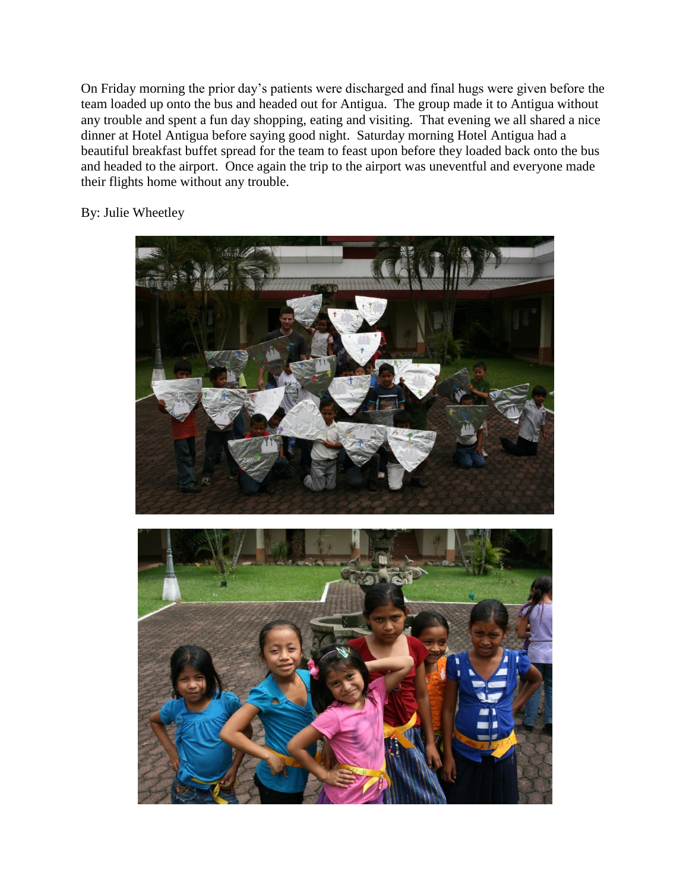On Friday morning the prior day's patients were discharged and final hugs were given before the team loaded up onto the bus and headed out for Antigua. The group made it to Antigua without any trouble and spent a fun day shopping, eating and visiting. That evening we all shared a nice dinner at Hotel Antigua before saying good night. Saturday morning Hotel Antigua had a beautiful breakfast buffet spread for the team to feast upon before they loaded back onto the bus and headed to the airport. Once again the trip to the airport was uneventful and everyone made their flights home without any trouble.

By: Julie Wheetley